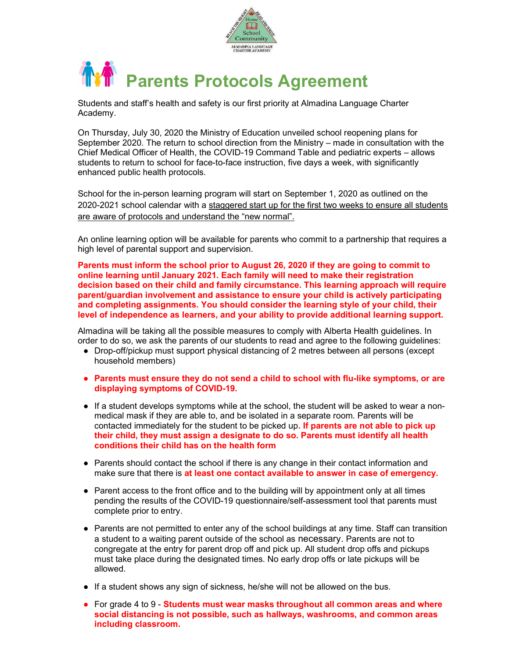



Students and staff's health and safety is our first priority at Almadina Language Charter Academy.

On Thursday, July 30, 2020 the Ministry of Education unveiled school reopening plans for September 2020. The return to school direction from the Ministry – made in consultation with the Chief Medical Officer of Health, the COVID-19 Command Table and pediatric experts – allows students to return to school for face-to-face instruction, five days a week, with significantly enhanced public health protocols.

School for the in-person learning program will start on September 1, 2020 as outlined on the 2020-2021 school calendar with a staggered start up for the first two weeks to ensure all students are aware of protocols and understand the "new normal".

An online learning option will be available for parents who commit to a partnership that requires a high level of parental support and supervision.

Parents must inform the school prior to August 26, 2020 if they are going to commit to online learning until January 2021. Each family will need to make their registration decision based on their child and family circumstance. This learning approach will require parent/guardian involvement and assistance to ensure your child is actively participating and completing assignments. You should consider the learning style of your child, their level of independence as learners, and your ability to provide additional learning support.

Almadina will be taking all the possible measures to comply with Alberta Health guidelines. In order to do so, we ask the parents of our students to read and agree to the following guidelines:

- Drop-off/pickup must support physical distancing of 2 metres between all persons (except household members)
- Parents must ensure they do not send a child to school with flu-like symptoms, or are displaying symptoms of COVID-19.
- If a student develops symptoms while at the school, the student will be asked to wear a nonmedical mask if they are able to, and be isolated in a separate room. Parents will be contacted immediately for the student to be picked up. If parents are not able to pick up their child, they must assign a designate to do so. Parents must identify all health conditions their child has on the health form
- Parents should contact the school if there is any change in their contact information and make sure that there is at least one contact available to answer in case of emergency.
- Parent access to the front office and to the building will by appointment only at all times pending the results of the COVID-19 questionnaire/self-assessment tool that parents must complete prior to entry.
- Parents are not permitted to enter any of the school buildings at any time. Staff can transition a student to a waiting parent outside of the school as necessary. Parents are not to congregate at the entry for parent drop off and pick up. All student drop offs and pickups must take place during the designated times. No early drop offs or late pickups will be allowed.
- If a student shows any sign of sickness, he/she will not be allowed on the bus.
- For grade 4 to 9 Students must wear masks throughout all common areas and where social distancing is not possible, such as hallways, washrooms, and common areas including classroom.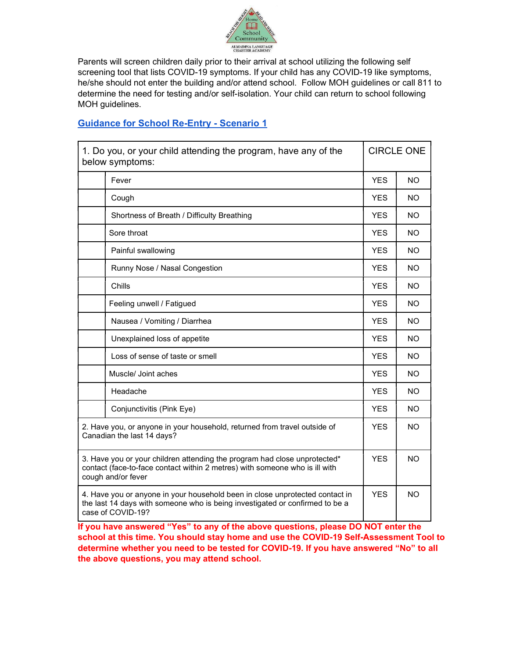

Parents will screen children daily prior to their arrival at school utilizing the following self screening tool that lists COVID-19 symptoms. If your child has any COVID-19 like symptoms, he/she should not enter the building and/or attend school. Follow MOH guidelines or call 811 to determine the need for testing and/or self-isolation. Your child can return to school following MOH guidelines.

## Guidance for School Re-Entry - Scenario 1

| 1. Do you, or your child attending the program, have any of the<br>below symptoms:                                                                                                |                                            | <b>CIRCLE ONE</b> |           |
|-----------------------------------------------------------------------------------------------------------------------------------------------------------------------------------|--------------------------------------------|-------------------|-----------|
|                                                                                                                                                                                   | Fever                                      | <b>YES</b>        | <b>NO</b> |
|                                                                                                                                                                                   | Cough                                      | <b>YES</b>        | NO        |
|                                                                                                                                                                                   | Shortness of Breath / Difficulty Breathing | <b>YES</b>        | <b>NO</b> |
|                                                                                                                                                                                   | Sore throat                                | <b>YES</b>        | NO.       |
|                                                                                                                                                                                   | Painful swallowing                         | <b>YES</b>        | NO.       |
|                                                                                                                                                                                   | Runny Nose / Nasal Congestion              | <b>YES</b>        | NO.       |
|                                                                                                                                                                                   | Chills                                     | <b>YES</b>        | <b>NO</b> |
|                                                                                                                                                                                   | Feeling unwell / Fatigued                  | <b>YES</b>        | <b>NO</b> |
|                                                                                                                                                                                   | Nausea / Vomiting / Diarrhea               | <b>YES</b>        | <b>NO</b> |
|                                                                                                                                                                                   | Unexplained loss of appetite               | <b>YES</b>        | NO.       |
|                                                                                                                                                                                   | Loss of sense of taste or smell            | <b>YES</b>        | <b>NO</b> |
|                                                                                                                                                                                   | Muscle/ Joint aches                        | <b>YES</b>        | <b>NO</b> |
|                                                                                                                                                                                   | Headache                                   | <b>YES</b>        | NO.       |
|                                                                                                                                                                                   | Conjunctivitis (Pink Eye)                  | <b>YES</b>        | NO.       |
| 2. Have you, or anyone in your household, returned from travel outside of<br>Canadian the last 14 days?                                                                           |                                            | <b>YES</b>        | <b>NO</b> |
| 3. Have you or your children attending the program had close unprotected*<br>contact (face-to-face contact within 2 metres) with someone who is ill with<br>cough and/or fever    |                                            | <b>YES</b>        | <b>NO</b> |
| 4. Have you or anyone in your household been in close unprotected contact in<br>the last 14 days with someone who is being investigated or confirmed to be a<br>case of COVID-19? |                                            | <b>YES</b>        | <b>NO</b> |

If you have answered "Yes" to any of the above questions, please DO NOT enter the school at this time. You should stay home and use the COVID-19 Self-Assessment Tool to determine whether you need to be tested for COVID-19. If you have answered "No" to all the above questions, you may attend school.